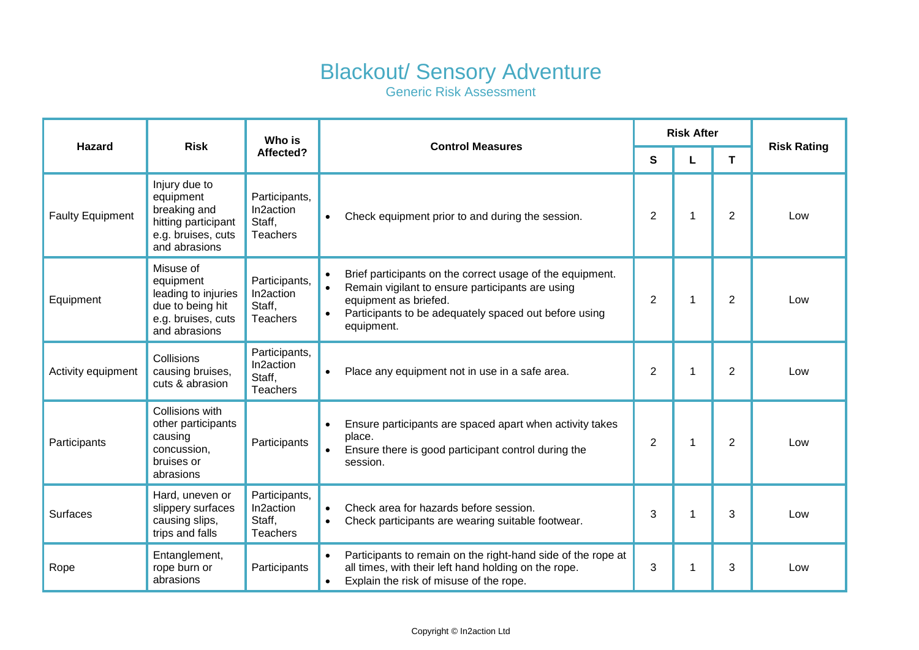## Blackout/ Sensory Adventure

Generic Risk Assessment

| <b>Hazard</b>           | <b>Risk</b>                                                                                              | Who is<br>Affected?                                     | <b>Control Measures</b>                                                                                                                                                                                                                              | <b>Risk After</b> |             |                |                    |
|-------------------------|----------------------------------------------------------------------------------------------------------|---------------------------------------------------------|------------------------------------------------------------------------------------------------------------------------------------------------------------------------------------------------------------------------------------------------------|-------------------|-------------|----------------|--------------------|
|                         |                                                                                                          |                                                         |                                                                                                                                                                                                                                                      | $\mathbf{s}$      | L           | T              | <b>Risk Rating</b> |
| <b>Faulty Equipment</b> | Injury due to<br>equipment<br>breaking and<br>hitting participant<br>e.g. bruises, cuts<br>and abrasions | Participants,<br>In2action<br>Staff,<br><b>Teachers</b> | Check equipment prior to and during the session.<br>$\bullet$                                                                                                                                                                                        | $\overline{2}$    | $\mathbf 1$ | $\overline{2}$ | Low                |
| Equipment               | Misuse of<br>equipment<br>leading to injuries<br>due to being hit<br>e.g. bruises, cuts<br>and abrasions | Participants,<br>In2action<br>Staff,<br><b>Teachers</b> | Brief participants on the correct usage of the equipment.<br>$\bullet$<br>Remain vigilant to ensure participants are using<br>$\bullet$<br>equipment as briefed.<br>Participants to be adequately spaced out before using<br>$\bullet$<br>equipment. | $\overline{2}$    | $\mathbf 1$ | $\overline{2}$ | Low                |
| Activity equipment      | Collisions<br>causing bruises,<br>cuts & abrasion                                                        | Participants,<br>In2action<br>Staff,<br><b>Teachers</b> | Place any equipment not in use in a safe area.<br>$\bullet$                                                                                                                                                                                          | $\overline{2}$    | $\mathbf 1$ | 2              | Low                |
| Participants            | Collisions with<br>other participants<br>causing<br>concussion,<br>bruises or<br>abrasions               | Participants                                            | Ensure participants are spaced apart when activity takes<br>$\bullet$<br>place.<br>Ensure there is good participant control during the<br>session.                                                                                                   | 2                 | $\mathbf 1$ | $\overline{2}$ | Low                |
| Surfaces                | Hard, uneven or<br>slippery surfaces<br>causing slips,<br>trips and falls                                | Participants,<br>In2action<br>Staff,<br><b>Teachers</b> | Check area for hazards before session.<br>$\bullet$<br>Check participants are wearing suitable footwear.<br>$\bullet$                                                                                                                                | 3                 | 1           | 3              | Low                |
| Rope                    | Entanglement,<br>rope burn or<br>abrasions                                                               | Participants                                            | Participants to remain on the right-hand side of the rope at<br>$\bullet$<br>all times, with their left hand holding on the rope.<br>Explain the risk of misuse of the rope.                                                                         | 3                 | $\mathbf 1$ | 3              | Low                |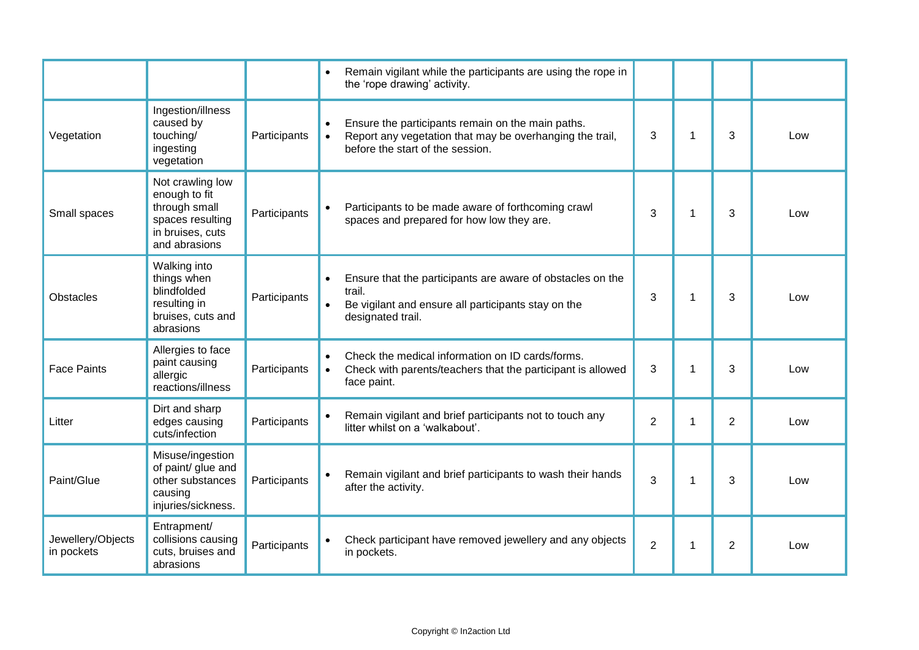|                                 |                                                                                                             |              | Remain vigilant while the participants are using the rope in<br>$\bullet$<br>the 'rope drawing' activity.                                                                   |                |             |   |     |
|---------------------------------|-------------------------------------------------------------------------------------------------------------|--------------|-----------------------------------------------------------------------------------------------------------------------------------------------------------------------------|----------------|-------------|---|-----|
| Vegetation                      | Ingestion/illness<br>caused by<br>touching/<br>ingesting<br>vegetation                                      | Participants | Ensure the participants remain on the main paths.<br>$\bullet$<br>Report any vegetation that may be overhanging the trail,<br>$\bullet$<br>before the start of the session. | 3              | 1           | 3 | Low |
| Small spaces                    | Not crawling low<br>enough to fit<br>through small<br>spaces resulting<br>in bruises, cuts<br>and abrasions | Participants | Participants to be made aware of forthcoming crawl<br>$\bullet$<br>spaces and prepared for how low they are.                                                                | 3              | 1           | 3 | Low |
| <b>Obstacles</b>                | Walking into<br>things when<br>blindfolded<br>resulting in<br>bruises, cuts and<br>abrasions                | Participants | Ensure that the participants are aware of obstacles on the<br>$\bullet$<br>trail.<br>Be vigilant and ensure all participants stay on the<br>$\bullet$<br>designated trail.  | 3              | 1           | 3 | Low |
| <b>Face Paints</b>              | Allergies to face<br>paint causing<br>allergic<br>reactions/illness                                         | Participants | Check the medical information on ID cards/forms.<br>$\bullet$<br>Check with parents/teachers that the participant is allowed<br>$\bullet$<br>face paint.                    | 3              | $\mathbf 1$ | 3 | Low |
| Litter                          | Dirt and sharp<br>edges causing<br>cuts/infection                                                           | Participants | Remain vigilant and brief participants not to touch any<br>litter whilst on a 'walkabout'.                                                                                  | $\overline{2}$ | 1           | 2 | Low |
| Paint/Glue                      | Misuse/ingestion<br>of paint/ glue and<br>other substances<br>causing<br>injuries/sickness.                 | Participants | Remain vigilant and brief participants to wash their hands<br>after the activity.                                                                                           | 3              | $\mathbf 1$ | 3 | Low |
| Jewellery/Objects<br>in pockets | Entrapment/<br>collisions causing<br>cuts, bruises and<br>abrasions                                         | Participants | Check participant have removed jewellery and any objects<br>in pockets.                                                                                                     | $\overline{2}$ | $\mathbf 1$ | 2 | Low |